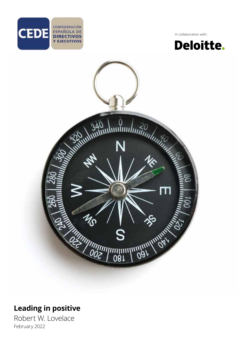

In collaboration with:





## **Leading in positive**

Robert W. Lovelace February 2022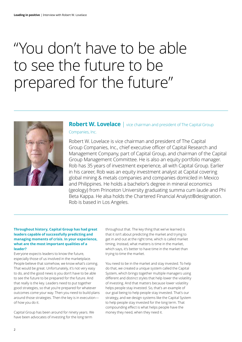# "You don't have to be able to see the future to be prepared for the future"



### **Robert W. Lovelace** | vice chairman and president of The Capital Group Companies, Inc.

Robert W. Lovelace is vice chairman and president of The Capital Group Companies, Inc., chief executive officer of Capital Research and Management Company, part of Capital Group, and chairman of the Capital Group Management Committee. He is also an equity portfolio manager. Rob has 35 years of investment experience, all with Capital Group. Earlier in his career, Rob was an equity investment analyst at Capital covering global mining & metals companies and companies domiciled in Mexico and Philippines. He holds a bachelor's degree in mineral economics (geology) from Princeton University graduating summa cum laude and Phi Beta Kappa. He alsa holds the Chartered Financial Analyst®designation. Rob is based in Los Angeles.

#### **Throughout history, Capital Group has had great leaders capable of successfully predicting and managing moments of crisis. In your experience, what are the most important qualities of a leader?**

Everyone expects leaders to know the future, especially those of us involved in the marketplace. People believe that somehow, we know what's coming. That would be great. Unfortunately, it's not very easy to do, and the good news is you don't have to be able to see the future to be prepared for the future. And that really is the key. Leaders need to put together good strategies, so that you're prepared for whatever outcomes come your way. Then you need to build plans around those strategies. Then the key is in execution of how you do it.

Capital Group has been around for ninety years. We have been advocates of investing for the long term

throughout that. The key thing that we've learned is that it isn't about predicting the market and trying to get in and out at the right time, which is called market timing. Instead, what matters is time in the market, which says, it's better to have time in the market than trying to time the market.

You need to be in the market and stay invested. To help do that, we created a unique system called the Capital System, which brings together multiple managers using different and distinct styles that help lower the volatility of investing. And that matters because lower volatility helps people stay invested. So, that's an example of our goal being to help people stay invested. That's our strategy, and we design systems like the Capital System to help people stay invested for the long term. That compounding effect is what helps people have the money they need, when they need it.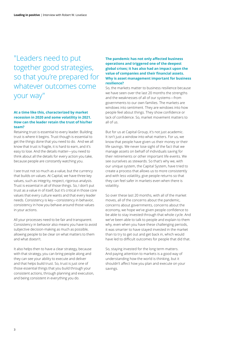## "Leaders need to put together good strategies, so that you're prepared for whatever outcomes come your way"

#### **At a time like this, characterized by market recession in 2020 and some volatility in 2021. How can the leader retain the trust of his/her team?**

Retaining trust is essential to every leader. Building trust is where it begins. Trust though is essential to get the things done that you need to do. And we all know that trust is fragile, it is hard to earn, and it's easy to lose. And the details matter—you need to think about all the details for every action you take, because people are constantly watching you.

I see trust not so much as a value, but the currency that builds on values. At Capital, we have three key values, such as integrity, respect, rigorous analysis. Trust is essential in all of those things. So, I don't put trust as a value in of itself, but it's critical in those core values that every culture wants and that every leader needs. Consistency is key—consistency in behavior, consistency in how you behave around those values in your actions.

All your processes need to be fair and transparent. Consistency in behavior also means you have to avoid subjective decision-making as much as possible, allowing people to be clear on what matters to them and what doesn't.

It also helps then to have a clear strategy, because with that strategy, you can bring people along and they can see your ability to execute and deliver and that helps build trust. So, trust is just one of those essential things that you build through your consistent actions, through planning and execution, and being consistent in everything you do.

#### **The pandemic has not only affected business operations and triggered one of the deepest global crises; it has also had an impact upon the value of companies and their financial assets. Why is asset management important for business resilience?**

So, the markets matter to business resilience because we have seen over the last 20 months the strengths and the weaknesses of all of our systems—from governments to our own families. The markets are windows into sentiment. They are windows into how people feel about things. They show confidence or lack of confidence. So, market movement matters to all of us.

But for us at Capital Group, it's not just academic. It isn't just a window into what matters. For us, we know that people have given us their money or their life savings. We never lose sight of the fact that we manage assets on behalf of individuals saving for their retirements or other important life events. We see ourselves as stewards. So that's why we, with our unique system, the Capital System, have tried to create a process that allows us to more consistently and with less volatility, give people returns so that they can feel safer in markets even when there is volatility.

So over these last 20 months, with all of the market moves, all of the concerns about the pandemic, concerns about governments, concerns about the economy, we hope we've given people confidence to be able to stay invested through that whole cycle. And we've been able to talk to people and explain to them why, even when you have these challenging periods, it was smarter to have stayed invested in the market than to try to get out and get back in, which would have led to difficult outcomes for people that did that.

So, staying invested for the long term matters. And paying attention to markets is a good way of understanding how the world is thinking, but it shouldn't affect how you plan and execute on your savings.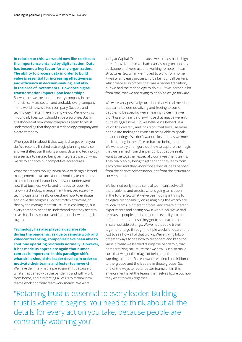**In relation to this, we would now like to discuss the importance entailed by digitalization. Data has become a key factor for any organization. The ability to process data in order to build value is essential for increasing effectiveness and efficiency in decision-making, and also in the area of investments. How does digital transformation impact upon leadership?**

So, whether we like it or not, every company in the financial services sector, and probably every company in the world now, is a tech company. So, data and technology matter in everything we do. We know this in our daily lives, so it shouldn't be a surprise. But I'm still shocked at how many companies seem to resist understanding that they are a technology company and a data company.

When you think about it that way, it changes what you do. We recently finished a strategic planning exercise and we shifted our thinking around data and technology as a service to instead being an integrated part of what we do to enhance our competitive advantages.

What that means though is you have to design a hybrid management structure. Your technology team needs to be embedded in your business and understand how that business works and it needs to report to its own technology management lines, because only technologists can really understand how to evaluate and drive the progress. So that matrix structure, or that hybrid management structure, is challenging, but every company needs to understand that they need to have that dual structure and figure out how to bring it together.

**Technology has also played a decisive role during the pandemic, as due to remote work and videoconferencing, companies have been able to continue operating relatively normally. However, it has made us appreciate again that human contact is important. In this paradigm shift, what skills should the leader develop in order to motivate their teams and foster teamwork?**

We have definitely had a paradigm shift because of what's happened with the pandemic and with work from home, and it is forcing all of us to rethink how teams work and what teamwork means. We were

lucky at Capital Group because we already had a high rate of travel, and so we had a very strong technology backbone and were used to working remote in team structures. So, when we moved to work from home, it was a fairly easy process. To be fair, our call centers, which were all in offices, that was a harder transition, but we had the technology to do it. But we learned a lot from that, that we are trying to apply as we go forward.

We were very positively surprised that virtual meetings appear to be democratizing and freeing to some people. To be specific, we're hearing voices that we didn't use to hear before—those that maybe weren't quite as aggressive. So, we believe it's helped us a lot on the diversity and inclusion front because more people are finding their voice in being able to speak up at meetings. We don't want to lose that as we move back to being in the office or back to being together. We want to try and figure out how to capture the magic that we learned from this period. But people really want to be together, especially our investment teams. They really enjoy being together and they learn from each other and they know those special ideas happen from the chance conversation, not from the structured conversation.

We learned early that a central team can't solve all the problems and predict what's going to happen in the future. So, what we've been doing is trying to delegate responsibility on reimagining the workplace to local teams in different offices, and create different experiments and seeing how it works. So, we've had retreats— people getting together, even if you're on different teams, just so they get to see each other in safe, outside settings. We've had people travel together and go through multiple weeks of quarantine just to see how all of that works. We're trying lots of different ways to see how to reconnect and keep the value of what we learned during the pandemic, that democratizing, structure that we saw. But also make sure that we get the magic of being together and working together. So, teamwork, we find is definitional to the groups and the leaders in those groups. So, one of the ways to foster better teamwork in this environment is let the teams themselves figure out how they want to work together.

"Retaining trust is essential to every leader. Building trust is where it begins. You need to think about all the details for every action you take, because people are constantly watching you".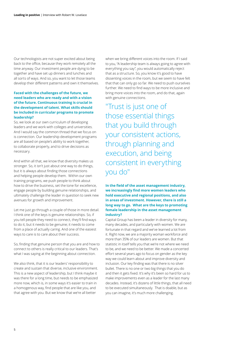Our technologists are not super excited about being back to the office, because they work remotely all the time anyway. Our investment people are dying to be together and have set up dinners and lunches and all sorts of ways. And so, you want to let those teams develop their different patterns and own it themselves.

#### **Faced with the challenges of the future, we need leaders who are ready and with a vision of the future. Continuous training is crucial in the development of talent. What skills should be included in curricular programs to promote leadership?**

So, we look at our own curriculum of developing leaders and we work with colleges and universities. And I would say the common thread that we focus on is connection. Our leadership development programs are all based on people's ability to work together, to collaborate properly, and to drive decisions as necessary.

And within all that, we know that diversity makes us stronger. So, it isn't just about one way to do things, but it is always about finding those connections and helping people develop them. Within our own training programs, we push people to think about how to drive the business, set the tone for excellence, engage people by building genuine relationships, and ultimately challenge the leader in question to seek new avenues for growth and improvement.

Let me just go through a couple of those in more detail. I think one of the keys is genuine relationships. So, if you tell people they need to connect, they'll find ways to do it, but it needs to be genuine; it needs to come from a place of actually caring. And one of the easiest ways to care is to care about their success.

So, finding that genuine person that you are and how to connect to others is really critical to our leaders. That's what I was saying at the beginning about connection.

We also think, that it is our leaders' responsibility to create and sustain that diverse, inclusive environment. This is a new aspect of leadership, but I think maybe it was there for a long time, but needs to be emphasized more now, which is, in some ways it's easier to train in a homogenous way, find people that are like you, and that agree with you. But we know that we're all better

when we bring different voices into the room. If I said to you, "A leadership team is always going to agree with everything you say", you would automatically reject that as a structure. So, you know it's good to have dissenting voices in the room, but we seem to have felt that that can only go so far. We need to push ourselves further. We need to find ways to be more inclusive and bring more voices into the room, and do that, again with genuine connections.

"Trust is just one of those essential things that you build through your consistent actions, through planning and execution, and being consistent in everything you do"

**In the field of the asset management industry, we increasingly find more women leaders who hold executive and regional positions, and also in areas of investment. However, there is still a long way to go. What are the keys to promoting female leadership in the asset management industry?**

Capital Group has been a leader in diversity for many, many decades, and particularly with women. We are fortunate in that regard and we've learned a lot from it. Right now, we are a majority woman workforce and more than 35% of our leaders are women. But that statistic in itself tells you that we're not where we need to be, and we need to be better. We made a concerted effort several years ago to focus on gender as the key way we could learn about and improve diversity and inclusion. Our key finding was that there is no silver bullet. There is no one or two big things that you do and then it gets fixed. It's why it's been so hard for us to make improvements even as a leader for the last many decades. Instead, it's dozens of little things, that all need to be executed simultaneously. That is doable, but as you can imagine, it's much more challenging.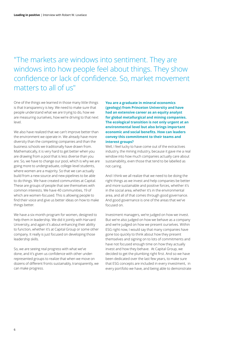## "The markets are windows into sentiment. They are windows into how people feel about things. They show confidence or lack of confidence. So, market movement matters to all of us"

One of the things we learned in those many little things is that transparency is key. We need to make sure that people understand what we are trying to do, how we are measuring ourselves, how we're driving to that next level.

We also have realized that we can't improve better than the environment we operate in. We already have more diversity than the competing companies and than the business schools we traditionally have drawn from. Mathematically, it is very hard to get better when you are drawing from a pool that is less diverse than you are. So, we have to change our pool, which is why we are going more to undergraduate, college-level students, where women are a majority. So that we can actually build from a new source and new pipelines to be able to do things. We have created communities at Capital. These are groups of people that see themselves with common interests. We have 40 communities, 19 of which are women-focused. This is allowing people to find their voice and give us better ideas on how to make things better.

We have a six-month program for women, designed to help them in leadership. We did it jointly with Harvard University, and again it's about enhancing their ability to function, whether it's at Capital Group or some other company. It really is just focused on developing those leadership skills.

So, we are seeing real progress with what we've done, and it's given us confidence with other underrepresented groups to realize that when we move on dozens of different fronts sustainably, transparently, we can make progress.

**You are a graduate in mineral economics (geology) from Princeton University and have had an extensive career as an equity analyst for global metallurgical and mining companies. The ecological transition is not only urgent at an environmental level but also brings important economic and social benefits. How can leaders convey this commitment to their teams and interest groups?**

Well, I feel lucky to have come out of the extractives industry, the mining industry, because it gave me a real window into how much companies actually care about sustainability, even those that tend to be labelled as not caring.

And I think we all realize that we need to be doing the right things as we invest and help companies be better and more sustainable and positive forces, whether it's in the social area, whether it's in the environmental area, and all of that comes through good governance. And good governance is one of the areas that we've focused on.

Investment managers, we're judged on how we invest. But we're also judged on how we behave as a company and we're judged on how we present ourselves. Within ESG right now, I would say that many companies have gone too quickly to think about how they present themselves and signing on to lots of commitments and have not focused enough time on how they actually invest and how they behave. At Capital Group, we decided to get the plumbing right first. And so we have been dedicated over the last few years, to make sure that ESG concepts are included in every investment, in every portfolio we have, and being able to demonstrate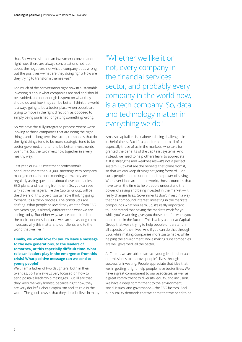that. So, when I sit in on an investment conversation right now, there are always conversations not just about the negatives, not what a company does wrong, but the positives—what are they doing right? How are they trying to transform themselves?

Too much of the conversation right now in sustainable investing is about what companies are bad and should be avoided, and not enough is spent on what they should do and how they can be better. I think the world is always going to be a better place when people are trying to move in the right direction, as opposed to simply being punished for getting something wrong.

So, we have this fully integrated process where we're looking at those companies that are doing the right things, and as long-term investors, companies that do the right things tend to be more strategic, tend to be better governed, and tend to be better investments over time. So, the two rivers flow together in a very healthy way.

Last year, our 400 investment professionals conducted more than 20,000 meetings with company managements. In those meetings now, they are regularly asking questions about those companies' ESG plans, and learning from them. So, you can see why active managers, like the Capital Group, will be the drivers of this type of sustainable thinking going forward. It's a tricky process. The constructs are shifting. What people believed they wanted from ESG two years ago, is already different than what we are seeing today. But either way, we are committed to the basic concepts, because we can see as long-term investors why this matters to our clients and to the world that we live in.

#### **Finally, we would love for you to leave a message to the new generations, to the leaders of tomorrow, at this especially difficult time. What role can leaders play in the emergence from this crisis? What positive message can we send to young people?**

Well, I am a father of two daughters, both in their twenties. So, I am always very focused on how to send positive leadership messages. But I'll say that they keep me very honest, because right now, they are very doubtful about capitalism and its role in the world. The good news is that they don't believe in many

"Whether we like it or not, every company in the financial services sector, and probably every company in the world now, is a tech company. So, data and technology matter in everything we do"

isms, so capitalism isn't alone in being challenged in its helpfulness. But it's a good reminder to all of us, especially those of us in the markets, who take for granted the benefits of the capitalist systems. And instead, we need to help others learn to appreciate it. It is strengths and weaknesses—it's not a perfect system. But what are the benefits that come from it, so that we can keep driving that going forward. For sure, people need to understand the power of saving. Whenever I look around the world, those countries that have taken the time to help people understand the power of saving and being invested in the market — it really changes lives. Governments don't invest in a way that has compound interest. Investing in the markets compounds what you earn. So, it's really important to understand that having the markets work for you while you're working gives you those benefits when you need them in the future. This is a key aspect at Capital Group that we're trying to help people understand in all aspects of their lives. And if you can do that through ESG, while making companies more sustainable, while helping the environment, while making sure companies are well governed, all the better.

At Capital, we are able to attract young leaders because our mission is to improve people's lives through successful investing. People appreciate that idea that we, in getting it right, help people have better lives. We have a great commitment to our associates, as well as a great commitment to diversity, equity, and inclusion. We have a deep commitment to the environment, social issues, and governance—the ESG factors. And our humility demands that we admit that we need to be